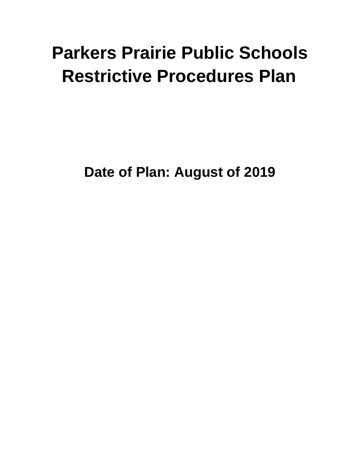# **Parkers Prairie Public Schools Restrictive Procedures Plan**

**Date of Plan: August of 2019**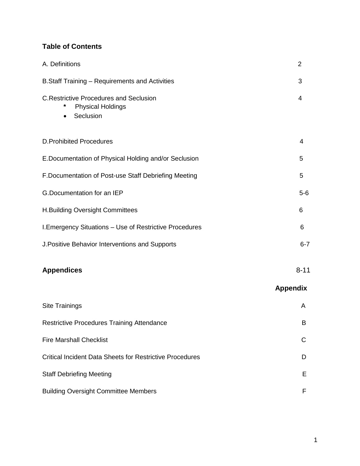#### **Table of Contents**

| A. Definitions                                                                         | $\overline{2}$  |
|----------------------------------------------------------------------------------------|-----------------|
| B.Staff Training - Requirements and Activities                                         | 3               |
| <b>C.Restrictive Procedures and Seclusion</b><br><b>Physical Holdings</b><br>Seclusion | 4               |
| <b>D.Prohibited Procedures</b>                                                         | 4               |
| E.Documentation of Physical Holding and/or Seclusion                                   | 5               |
| F. Documentation of Post-use Staff Debriefing Meeting                                  | 5               |
| G.Documentation for an IEP                                                             | $5-6$           |
| <b>H.Building Oversight Committees</b>                                                 | 6               |
| I. Emergency Situations - Use of Restrictive Procedures                                | 6               |
| J. Positive Behavior Interventions and Supports                                        | $6 - 7$         |
| <b>Appendices</b>                                                                      | $8 - 11$        |
|                                                                                        | <b>Appendix</b> |
| <b>Site Trainings</b>                                                                  | A               |
| <b>Restrictive Procedures Training Attendance</b>                                      | Β               |
| <b>Fire Marshall Checklist</b>                                                         | C               |
| <b>Critical Incident Data Sheets for Restrictive Procedures</b>                        | D               |
| <b>Staff Debriefing Meeting</b>                                                        | Ε               |
| <b>Building Oversight Committee Members</b>                                            | F               |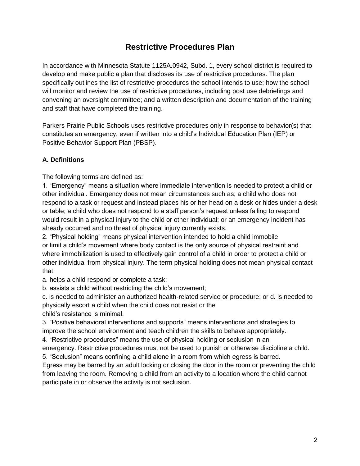### **Restrictive Procedures Plan**

In accordance with Minnesota Statute 1125A.0942, Subd. 1, every school district is required to develop and make public a plan that discloses its use of restrictive procedures. The plan specifically outlines the list of restrictive procedures the school intends to use; how the school will monitor and review the use of restrictive procedures, including post use debriefings and convening an oversight committee; and a written description and documentation of the training and staff that have completed the training.

Parkers Prairie Public Schools uses restrictive procedures only in response to behavior(s) that constitutes an emergency, even if written into a child's Individual Education Plan (IEP) or Positive Behavior Support Plan (PBSP).

#### **A. Definitions**

The following terms are defined as:

1. "Emergency" means a situation where immediate intervention is needed to protect a child or other individual. Emergency does not mean circumstances such as; a child who does not respond to a task or request and instead places his or her head on a desk or hides under a desk or table; a child who does not respond to a staff person's request unless failing to respond would result in a physical injury to the child or other individual; or an emergency incident has already occurred and no threat of physical injury currently exists.

2. "Physical holding" means physical intervention intended to hold a child immobile or limit a child's movement where body contact is the only source of physical restraint and where immobilization is used to effectively gain control of a child in order to protect a child or other individual from physical injury. The term physical holding does not mean physical contact that:

a. helps a child respond or complete a task;

b. assists a child without restricting the child's movement;

c. is needed to administer an authorized health-related service or procedure; or d. is needed to physically escort a child when the child does not resist or the child's resistance is minimal.

3. "Positive behavioral interventions and supports" means interventions and strategies to improve the school environment and teach children the skills to behave appropriately.

4. "Restrictive procedures" means the use of physical holding or seclusion in an

emergency. Restrictive procedures must not be used to punish or otherwise discipline a child. 5. "Seclusion" means confining a child alone in a room from which egress is barred.

Egress may be barred by an adult locking or closing the door in the room or preventing the child from leaving the room. Removing a child from an activity to a location where the child cannot participate in or observe the activity is not seclusion.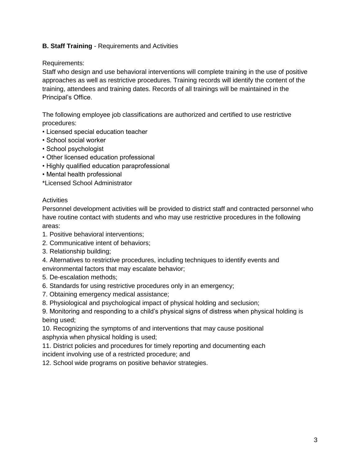#### **B. Staff Training** - Requirements and Activities

#### Requirements:

Staff who design and use behavioral interventions will complete training in the use of positive approaches as well as restrictive procedures. Training records will identify the content of the training, attendees and training dates. Records of all trainings will be maintained in the Principal's Office.

The following employee job classifications are authorized and certified to use restrictive procedures:

- Licensed special education teacher
- School social worker
- School psychologist
- Other licensed education professional
- Highly qualified education paraprofessional
- Mental health professional
- \*Licensed School Administrator

#### **Activities**

Personnel development activities will be provided to district staff and contracted personnel who have routine contact with students and who may use restrictive procedures in the following areas:

- 1. Positive behavioral interventions;
- 2. Communicative intent of behaviors;
- 3. Relationship building;
- 4. Alternatives to restrictive procedures, including techniques to identify events and environmental factors that may escalate behavior;
- 5. De-escalation methods;
- 6. Standards for using restrictive procedures only in an emergency;
- 7. Obtaining emergency medical assistance;
- 8. Physiological and psychological impact of physical holding and seclusion;

9. Monitoring and responding to a child's physical signs of distress when physical holding is being used;

10. Recognizing the symptoms of and interventions that may cause positional asphyxia when physical holding is used;

11. District policies and procedures for timely reporting and documenting each incident involving use of a restricted procedure; and

12. School wide programs on positive behavior strategies.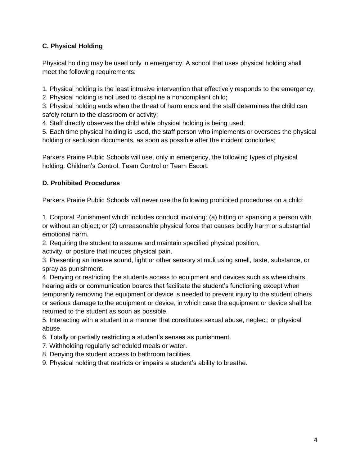#### **C. Physical Holding**

Physical holding may be used only in emergency. A school that uses physical holding shall meet the following requirements:

1. Physical holding is the least intrusive intervention that effectively responds to the emergency;

2. Physical holding is not used to discipline a noncompliant child;

3. Physical holding ends when the threat of harm ends and the staff determines the child can safely return to the classroom or activity;

4. Staff directly observes the child while physical holding is being used;

5. Each time physical holding is used, the staff person who implements or oversees the physical holding or seclusion documents, as soon as possible after the incident concludes;

Parkers Prairie Public Schools will use, only in emergency, the following types of physical holding: Children's Control, Team Control or Team Escort.

#### **D. Prohibited Procedures**

Parkers Prairie Public Schools will never use the following prohibited procedures on a child:

1. Corporal Punishment which includes conduct involving: (a) hitting or spanking a person with or without an object; or (2) unreasonable physical force that causes bodily harm or substantial emotional harm.

2. Requiring the student to assume and maintain specified physical position,

activity, or posture that induces physical pain.

3. Presenting an intense sound, light or other sensory stimuli using smell, taste, substance, or spray as punishment.

4. Denying or restricting the students access to equipment and devices such as wheelchairs, hearing aids or communication boards that facilitate the student's functioning except when temporarily removing the equipment or device is needed to prevent injury to the student others or serious damage to the equipment or device, in which case the equipment or device shall be returned to the student as soon as possible.

5. Interacting with a student in a manner that constitutes sexual abuse, neglect, or physical abuse.

6. Totally or partially restricting a student's senses as punishment.

7. Withholding regularly scheduled meals or water.

8. Denying the student access to bathroom facilities.

9. Physical holding that restricts or impairs a student's ability to breathe.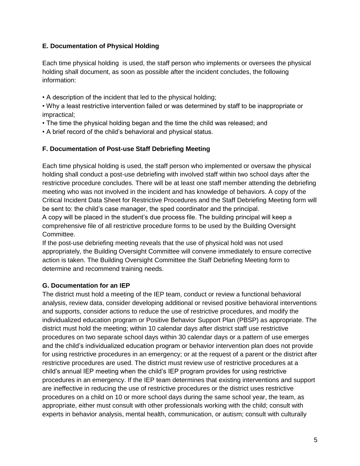#### **E. Documentation of Physical Holding**

Each time physical holding is used, the staff person who implements or oversees the physical holding shall document, as soon as possible after the incident concludes, the following information:

• A description of the incident that led to the physical holding;

• Why a least restrictive intervention failed or was determined by staff to be inappropriate or impractical;

- The time the physical holding began and the time the child was released; and
- A brief record of the child's behavioral and physical status.

#### **F. Documentation of Post-use Staff Debriefing Meeting**

Each time physical holding is used, the staff person who implemented or oversaw the physical holding shall conduct a post-use debriefing with involved staff within two school days after the restrictive procedure concludes. There will be at least one staff member attending the debriefing meeting who was not involved in the incident and has knowledge of behaviors. A copy of the Critical Incident Data Sheet for Restrictive Procedures and the Staff Debriefing Meeting form will be sent to: the child's case manager, the sped coordinator and the principal.

A copy will be placed in the student's due process file. The building principal will keep a comprehensive file of all restrictive procedure forms to be used by the Building Oversight Committee.

If the post-use debriefing meeting reveals that the use of physical hold was not used appropriately, the Building Oversight Committee will convene immediately to ensure corrective action is taken. The Building Oversight Committee the Staff Debriefing Meeting form to determine and recommend training needs.

#### **G. Documentation for an IEP**

The district must hold a meeting of the IEP team, conduct or review a functional behavioral analysis, review data, consider developing additional or revised positive behavioral interventions and supports, consider actions to reduce the use of restrictive procedures, and modify the individualized education program or Positive Behavior Support Plan (PBSP) as appropriate. The district must hold the meeting; within 10 calendar days after district staff use restrictive procedures on two separate school days within 30 calendar days or a pattern of use emerges and the child's individualized education program or behavior intervention plan does not provide for using restrictive procedures in an emergency; or at the request of a parent or the district after restrictive procedures are used. The district must review use of restrictive procedures at a child's annual IEP meeting when the child's IEP program provides for using restrictive procedures in an emergency. If the IEP team determines that existing interventions and support are ineffective in reducing the use of restrictive procedures or the district uses restrictive procedures on a child on 10 or more school days during the same school year, the team, as appropriate, either must consult with other professionals working with the child; consult with experts in behavior analysis, mental health, communication, or autism; consult with culturally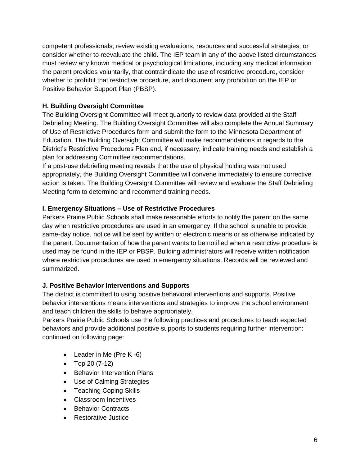competent professionals; review existing evaluations, resources and successful strategies; or consider whether to reevaluate the child. The IEP team in any of the above listed circumstances must review any known medical or psychological limitations, including any medical information the parent provides voluntarily, that contraindicate the use of restrictive procedure, consider whether to prohibit that restrictive procedure, and document any prohibition on the IEP or Positive Behavior Support Plan (PBSP).

#### **H. Building Oversight Committee**

The Building Oversight Committee will meet quarterly to review data provided at the Staff Debriefing Meeting. The Building Oversight Committee will also complete the Annual Summary of Use of Restrictive Procedures form and submit the form to the Minnesota Department of Education. The Building Oversight Committee will make recommendations in regards to the District's Restrictive Procedures Plan and, if necessary, indicate training needs and establish a plan for addressing Committee recommendations.

If a post-use debriefing meeting reveals that the use of physical holding was not used appropriately, the Building Oversight Committee will convene immediately to ensure corrective action is taken. The Building Oversight Committee will review and evaluate the Staff Debriefing Meeting form to determine and recommend training needs.

#### **I. Emergency Situations – Use of Restrictive Procedures**

Parkers Prairie Public Schools shall make reasonable efforts to notify the parent on the same day when restrictive procedures are used in an emergency. If the school is unable to provide same-day notice, notice will be sent by written or electronic means or as otherwise indicated by the parent. Documentation of how the parent wants to be notified when a restrictive procedure is used may be found in the IEP or PBSP. Building administrators will receive written notification where restrictive procedures are used in emergency situations. Records will be reviewed and summarized.

#### **J. Positive Behavior Interventions and Supports**

The district is committed to using positive behavioral interventions and supports. Positive behavior interventions means interventions and strategies to improve the school environment and teach children the skills to behave appropriately.

Parkers Prairie Public Schools use the following practices and procedures to teach expected behaviors and provide additional positive supports to students requiring further intervention: continued on following page:

- Leader in Me (Pre K -6)
- $\bullet$  Top 20 (7-12)
- Behavior Intervention Plans
- Use of Calming Strategies
- Teaching Coping Skills
- Classroom Incentives
- Behavior Contracts
- Restorative Justice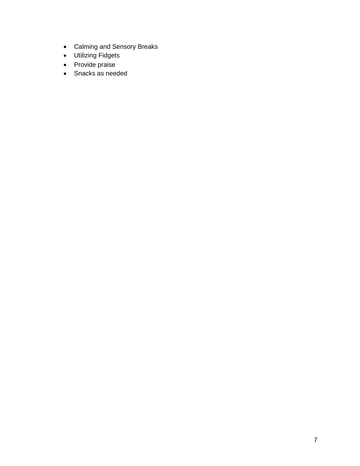- Calming and Sensory Breaks
- Utilizing Fidgets
- Provide praise
- Snacks as needed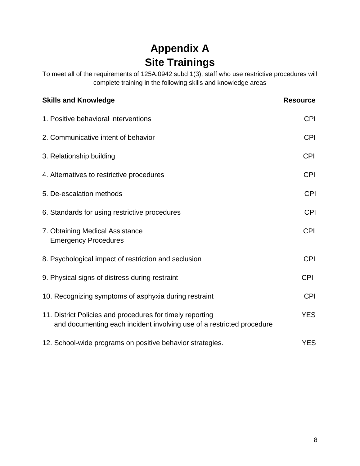# **Appendix A Site Trainings**

To meet all of the requirements of 125A.0942 subd 1(3), staff who use restrictive procedures will complete training in the following skills and knowledge areas

| <b>Skills and Knowledge</b>                                                                                                        | <b>Resource</b> |
|------------------------------------------------------------------------------------------------------------------------------------|-----------------|
| 1. Positive behavioral interventions                                                                                               | <b>CPI</b>      |
| 2. Communicative intent of behavior                                                                                                | <b>CPI</b>      |
| 3. Relationship building                                                                                                           | <b>CPI</b>      |
| 4. Alternatives to restrictive procedures                                                                                          | <b>CPI</b>      |
| 5. De-escalation methods                                                                                                           | <b>CPI</b>      |
| 6. Standards for using restrictive procedures                                                                                      | <b>CPI</b>      |
| 7. Obtaining Medical Assistance<br><b>Emergency Procedures</b>                                                                     | <b>CPI</b>      |
| 8. Psychological impact of restriction and seclusion                                                                               | <b>CPI</b>      |
| 9. Physical signs of distress during restraint                                                                                     | <b>CPI</b>      |
| 10. Recognizing symptoms of asphyxia during restraint                                                                              | <b>CPI</b>      |
| 11. District Policies and procedures for timely reporting<br>and documenting each incident involving use of a restricted procedure | <b>YES</b>      |
| 12. School-wide programs on positive behavior strategies.                                                                          | <b>YES</b>      |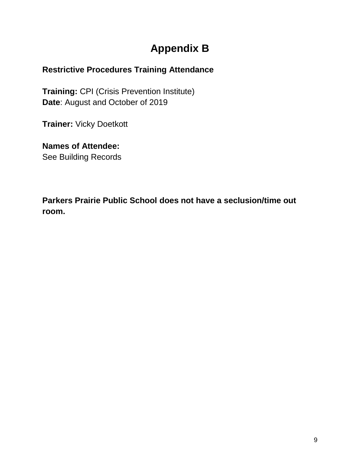## **Appendix B**

### **Restrictive Procedures Training Attendance**

**Training:** CPI (Crisis Prevention Institute) **Date**: August and October of 2019

**Trainer:** Vicky Doetkott

**Names of Attendee:** See Building Records

**Parkers Prairie Public School does not have a seclusion/time out room.**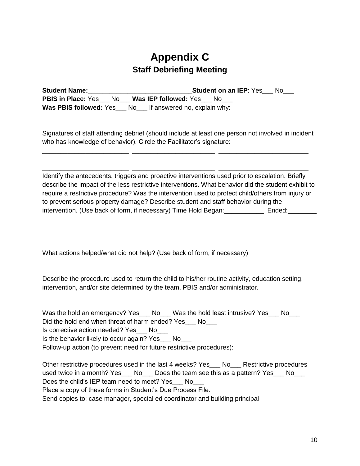### **Appendix C Staff Debriefing Meeting**

| <b>Student Name:</b> | <b>Student on an IEP:</b> Yes No                                     |
|----------------------|----------------------------------------------------------------------|
|                      | <b>PBIS in Place:</b> Yes ___ No ___ Was IEP followed: Yes ___ No    |
|                      | <b>Was PBIS followed:</b> Yes ___ No___ If answered no, explain why: |

Signatures of staff attending debrief (should include at least one person not involved in incident who has knowledge of behavior). Circle the Facilitator's signature:

\_\_\_\_\_\_\_\_\_\_\_\_\_\_\_\_\_\_\_\_\_\_\_\_ \_\_\_\_\_\_\_\_\_\_\_\_\_\_\_\_\_\_\_\_\_\_\_ \_\_\_\_\_\_\_\_\_\_\_\_\_\_\_\_\_\_\_\_\_\_\_\_\_

\_\_\_\_\_\_\_\_\_\_\_\_\_\_\_\_\_\_\_\_\_\_\_\_ \_\_\_\_\_\_\_\_\_\_\_\_\_\_\_\_\_\_\_\_\_\_\_ \_\_\_\_\_\_\_\_\_\_\_\_\_\_\_\_\_\_\_\_\_\_\_\_\_

Identify the antecedents, triggers and proactive interventions used prior to escalation. Briefly describe the impact of the less restrictive interventions. What behavior did the student exhibit to require a restrictive procedure? Was the intervention used to protect child/others from injury or to prevent serious property damage? Describe student and staff behavior during the intervention. (Use back of form, if necessary) Time Hold Began: \_\_\_\_\_\_\_\_\_\_\_\_\_\_ Ended: \_\_\_\_\_\_\_\_\_

What actions helped/what did not help? (Use back of form, if necessary)

Describe the procedure used to return the child to his/her routine activity, education setting, intervention, and/or site determined by the team, PBIS and/or administrator.

| Was the hold an emergency? Yes___ No___ Was the hold least intrusive? Yes___ No___ |  |  |
|------------------------------------------------------------------------------------|--|--|
| Did the hold end when threat of harm ended? Yes No                                 |  |  |
| Is corrective action needed? Yes No                                                |  |  |
| Is the behavior likely to occur again? Yes ___ No                                  |  |  |

Follow-up action (to prevent need for future restrictive procedures):

Other restrictive procedures used in the last 4 weeks? Yes No Restrictive procedures used twice in a month? Yes No Does the team see this as a pattern? Yes No Does the child's IEP team need to meet? Yes No Place a copy of these forms in Student's Due Process File. Send copies to: case manager, special ed coordinator and building principal